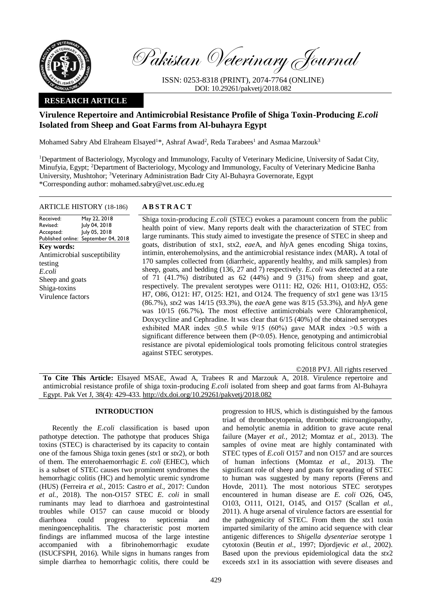

Pakistan Veterinary Journal

ISSN: 0253-8318 (PRINT), 2074-7764 (ONLINE) DOI: 10.29261/pakvetj/2018.082

# **RESEARCH ARTICLE**

# **Virulence Repertoire and Antimicrobial Resistance Profile of Shiga Toxin-Producing** *E.coli* **Isolated from Sheep and Goat Farms from Al-buhayra Egypt**

Mohamed Sabry Abd Elraheam Elsayed<sup>1\*</sup>, Ashraf Awad<sup>2</sup>, Reda Tarabees<sup>1</sup> and Asmaa Marzouk<sup>3</sup>

<sup>1</sup>Department of Bacteriology, Mycology and Immunology, Faculty of Veterinary Medicine, University of Sadat City, Minufyia, Egypt; <sup>2</sup>Department of Bacteriology, Mycology and Immunology, Faculty of Veterinary Medicine Banha University, Mushtohor; <sup>3</sup>Veterinary Administration Badr City Al-Buhayra Governorate, Egypt \*Corresponding author: mohamed.sabry@vet.usc.edu.eg

## ARTICLE HISTORY (18-186) **A B S T R A C T**

Received: Revised: Accepted: Published online: May 22, 2018 July 04, 2018 July 05, 2018 September 04, 2018 **Key words:**  Antimicrobial susceptibility testing *E.coli* Sheep and goats Shiga-toxins Virulence factors

Shiga toxin-producing *E.coli* (STEC) evokes a paramount concern from the public health point of view. Many reports dealt with the characterization of STEC from large ruminants. This study aimed to investigate the presence of STEC in sheep and goats, distribution of stx1, stx2, *eae*A, and *hly*A genes encoding Shiga toxins, intimin, enterohemolysins, and the antimicrobial resistance index (MAR)**.** A total of 170 samples collected from (diarrheic, apparently healthy, and milk samples) from sheep, goats, and bedding (136, 27 and 7) respectively. *E.coli* was detected at a rate of 71 (41.7%) distributed as  $62$  (44%) and 9 (31%) from sheep and goat, respectively. The prevalent serotypes were O111: H2, O26: H11, O103:H2, O55: H7, O86, O121: H7, O125: H21, and O124. The frequency of *stx*1 gene was 13/15 (86.7%), *stx*2 was 14/15 (93.3%), the *eae*A gene was 8/15 (53.3%), and *hly*A gene was 10/15 (66.7%)**.** The most effective antimicrobials were Chloramphenicol, Doxycycline and Cephradine. It was clear that 6/15 (40%) of the obtained serotypes exhibited MAR index  $\leq 0.5$  while  $9/15$  (60%) gave MAR index >0.5 with a significant difference between them (P˂0.05). Hence, genotyping and antimicrobial resistance are pivotal epidemiological tools promoting felicitous control strategies against STEC serotypes.

©2018 PVJ. All rights reserved

**To Cite This Article:** Elsayed MSAE, Awad A, Trabees R and Marzouk A, 2018. Virulence repertoire and antimicrobial resistance profile of shiga toxin-producing *E.coli* isolated from sheep and goat farms from Al-Buhayra Egypt. Pak Vet J, 38(4): 429-433. [http://dx.doi.org/10.29261/pakvetj/2018.082](http://pvj.com.pk/pdf-files/38_4/429-433.pdf) 

# **INTRODUCTION**

Recently the *E.coli* classification is based upon pathotype detection. The pathotype that produces Shiga toxins (STEC) is characterised by its capacity to contain one of the famous Shiga toxin genes (*stx*1 or *stx*2), or both of them. The enterohaemorrhagic *E. coli* (EHEC), which is a subset of STEC causes two prominent syndromes the hemorrhagic colitis (HC) and hemolytic uremic syndrome (HUS) (Ferreira *et al.,* 2015: Castro *et al.,* 2017: Cundon *et al.,* 2018). The non-O157 STEC *E. coli* in small ruminants may lead to diarrhoea and gastrointestinal troubles while O157 can cause mucoid or bloody diarrhoea could progress to septicemia and meningoencephalitis. The characteristic post mortem findings are inflammed mucosa of the large intestine accompanied with a fibrinohemorrhagic exudate (ISUCFSPH, 2016). While signs in humans ranges from simple diarrhea to hemorrhagic colitis, there could be

progression to HUS, which is distinguished by the famous triad of thrombocytopenia, thrombotic microangiopathy, and hemolytic anemia in addition to grave acute renal failure (Mayer *et al.,* 2012; Momtaz *et al.,* 2013). The samples of ovine meat are highly contaminated with STEC types of *E.coli* O157 and non O157 and are sources of human infections (Momtaz *et al.,* 2013). The significant role of sheep and goats for spreading of STEC to human was suggested by many reports (Ferens and Hovde, 2011). The most notorious STEC serotypes encountered in human disease are *E. coli* O26, O45, O103, O111, O121, O145, and O157 (Scallan *et al.,* 2011). A huge arsenal of virulence factors are essential for the pathogenicity of STEC. From them the *stx*1 toxin imparted similarity of the amino acid sequence with clear antigenic differences to *Shigella dysenteriae* serotype 1 cytotoxin (Beutin *et al.,* 1997; Djordjevic *et al.,* 2002). Based upon the previous epidemiological data the *stx*2 exceeds *stx*1 in its associattion with severe diseases and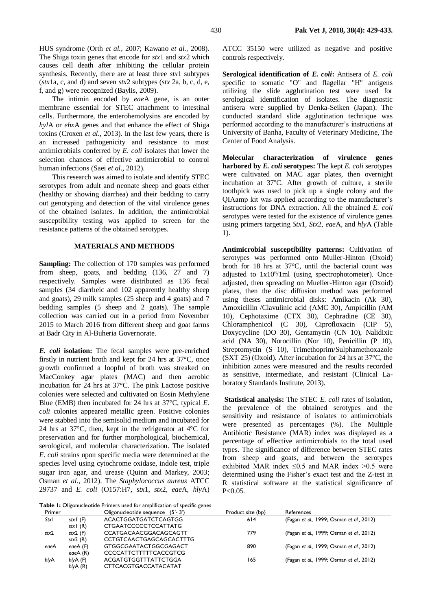HUS syndrome (Orth *et al.,* 2007; Kawano *et al.,* 2008). The Shiga toxin genes that encode for *stx*1 and *stx*2 which causes cell death after inhibiting the cellular protein synthesis. Recently, there are at least three *stx*1 subtypes (*stx*1a, c, and d) and seven *stx*2 subtypes (*stx* 2a, b, c, d, e, f, and g) were recognized (Baylis, 2009).

The intimin encoded by *eae*A gene, is an outer membrane essential for STEC attachment to intestinal cells. Furthermore, the enterohemolysins are encoded by *hyl*A or *ehx*A genes and that enhance the effect of Shiga toxins (Croxen *et al.,* 2013). In the last few years, there is an increased pathogenicity and resistance to most antimicrobials conferred by *E. coli* isolates that lower the selection chances of effective antimicrobial to control human infections (Saei *et al.,* 2012).

This research was aimed to isolate and identify STEC serotypes from adult and neonate sheep and goats either (healthy or showing diarrhea) and their bedding to carry out genotyping and detection of the vital virulence genes of the obtained isolates. In addition, the antimicrobial susceptibility testing was applied to screen for the resistance patterns of the obtained serotypes.

# **MATERIALS AND METHODS**

**Sampling:** The collection of 170 samples was performed from sheep, goats, and bedding (136, 27 and 7) respectively. Samples were distributed as 136 fecal samples (34 diarrheic and 102 apparently healthy sheep and goats), 29 milk samples (25 sheep and 4 goats) and 7 bedding samples (5 sheep and 2 goats). The sample collection was carried out in a period from November 2015 to March 2016 from different sheep and goat farms at Badr City in Al-Buheria Governorate.

*E. coli* **isolation:** The fecal samples were pre-enriched firstly in nutrient broth and kept for 24 hrs at 37°C, once growth confirmed a loopful of broth was streaked on MacConkey agar plates (MAC) and then aerobic incubation for 24 hrs at 37°C. The pink Lactose positive colonies were selected and cultivated on Eosin Methylene Blue (EMB) then incubated for 24 hrs at 37°C, typical *E. coli* colonies appeared metallic green. Positive colonies were stabbed into the semisolid medium and incubated for 24 hrs at 37°C, then, kept in the refrigerator at 4°C for preservation and for further morphological, biochemical, serological, and molecular characterization. The isolated *E. coli* strains upon specific media were determined at the species level using cytochrome oxidase, indole test, triple sugar iron agar, and urease (Quinn and Markey, 2003; Osman *et al.,* 2012). The *Staphylococcus aureus* ATCC 29737 and *E. coli* (O157:H7, *stx*1, *stx*2, *eae*A, *hly*A)

**Table 1:** Oligonucleotide Primers used for amplification of specific genes

ATCC 35150 were utilized as negative and positive controls respectively.

**Serological identification of** *E. coli***:** Antisera of *E. coli* specific to somatic "O" and flagellar "H" antigens utilizing the slide agglutination test were used for serological identification of isolates. The diagnostic antisera were supplied by Denka-Seiken (Japan). The conducted standard slide agglutination technique was performed according to the manufacturer's instructions at University of Banha, Faculty of Veterinary Medicine, The Center of Food Analysis.

**Molecular characterization of virulence genes harbored by** *E. coli* **serotypes:** The kept *E. coli* serotypes were cultivated on MAC agar plates, then overnight incubation at 37°C. After growth of culture, a sterile toothpick was used to pick up a single colony and the QIAamp kit was applied according to the manufacturer's instructions for DNA extraction**.** All the obtained *E. coli* serotypes were tested for the existence of virulence genes using primers targeting *Stx*1, *Stx*2, *eae*A, and *hly*A (Table 1).

**Antimicrobial susceptibility patterns:** Cultivation of serotypes was performed onto Muller-Hinton (Oxoid) broth for 18 hrs at 37°C, until the bacterial count was adjusted to  $1x10^6/1m1$  (using spectrophotometer). Once adjusted, then spreading on Mueller-Hinton agar (Oxoid) plates, then the disc diffusion method was performed using theses antimicrobial disks: Amikacin (Ak 30), Amoxicillin /Clavulinic acid (AMC 30), Ampicillin (AM 10), Cephotaxime (CTX 30), Cephradine (CE 30), Chloramphenicol (C 30), Ciprofloxacin (CIP 5), Doxycycline (DO 30), Gentamycin (CN 10), Nalidixic acid (NA 30), Norocillin (Nor 10), Penicillin (P 10), Streptomycin (S 10), Trimethoprim/Sulphamethoxazole (SXT 25) (Oxoid). After incubation for 24 hrs at 37°C, the inhibition zones were measured and the results recorded as sensitive, intermediate, and resistant (Clinical Laboratory Standards Institute, 2013).

**Statistical analysis:** The STEC *E. coli* rates of isolation, the prevalence of the obtained serotypes and the sensitivity and resistance of isolates to antimicrobials were presented as percentages (%). The Multiple Antibiotic Resistance (MAR) index was displayed as a percentage of effective antimicrobials to the total used types. The significance of difference between STEC rates from sheep and goats, and between the serotypes exhibited MAR index  $\leq 0.5$  and MAR index  $> 0.5$  were determined using the Fisher's exact test and the Z-test in R statistical software at the statistical significance of  $P < 0.05$ .

| Primer |                      | Oligonucleotide sequence (5'-3') | Product size (bp) | References                               |
|--------|----------------------|----------------------------------|-------------------|------------------------------------------|
| Stxl   | stx $\mathsf{I}$ (F) | <b>ACACTGGATGATCTCAGTGG</b>      | 614               | (Fagan et al., 1999; Osman et al., 2012) |
|        | stx $\mathsf{I}$ (R) | <b>CTGAATCCCCCCTCCATTATG</b>     |                   |                                          |
| stx2   | $stx2$ (F)           | CCATGACAACGGACAGCAGTT            | 779               | (Fagan et al., 1999; Osman et al., 2012) |
|        | stx2(R)              | <b>CCTGTCAACTGAGCAGCACTTTG</b>   |                   |                                          |
| eaeA   | eaeA (F)             | <b>GTGGCGAATACTGGCGAGACT</b>     | 890               | (Fagan et al., 1999; Osman et al., 2012) |
|        | eae $A(R)$           | <b>CCCCATTCTTTTTCACCGTCG</b>     |                   |                                          |
| hlyA   | hlyA(F)              | ACGATGTGGTTTATTCTGGA             | 165               | (Fagan et al., 1999; Osman et al., 2012) |
|        | $h/vA$ (R)           | <b>CTTCACGTGACCATACATAT</b>      |                   |                                          |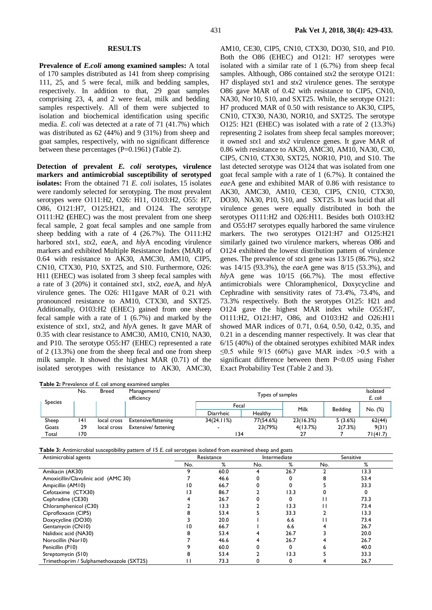## **RESULTS**

**Prevalence of** *E.coli* **among examined samples:** A total of 170 samples distributed as 141 from sheep comprising 111, 25, and 5 were fecal, milk and bedding samples, respectively. In addition to that, 29 goat samples comprising 23, 4, and 2 were fecal, milk and bedding samples respectively. All of them were subjected to isolation and biochemical identification using specific media. *E. coli* was detected at a rate of 71 (41.7%) which was distributed as 62 (44%) and 9 (31%) from sheep and goat samples, respectively, with no significant difference between these percentages (P=0.1961) (Table 2).

**Detection of prevalent** *E. coli* **serotypes, virulence markers and antimicrobial susceptibility of serotyped isolates:** From the obtained 71 *E. coli* isolates, 15 isolates were randomly selected for serotyping. The most prevalent serotypes were O111:H2, O26: H11, O103:H2, O55: H7, O86, O121:H7, O125:H21, and O124. The serotype O111:H2 **(**EHEC) was the most prevalent from one sheep fecal sample, 2 goat fecal samples and one sample from sheep bedding with a rate of 4 (26.7%). The O111:H2 harbored *stx*1*, stx*2*, eae*A, and *hly*A encoding virulence markers and exhibited Multiple Resistance Index (MAR) of 0.64 with resistance to AK30, AMC30, AM10, CIP5, CN10, CTX30, P10, SXT25, and S10. Furthermore, O26: H11 (EHEC) was isolated from 3 sheep fecal samples with a rate of 3 (20%) it contained *stx*1*, stx*2*, eae*A, and *hly*A virulence genes. The O26: H11gave MAR of 0.21 with pronounced resistance to AM10, CTX30, and SXT25. Additionally, O103:H2 (EHEC) gained from one sheep fecal sample with a rate of 1 (6.7%) and marked by the existence of *stx*1*, stx*2*,* and *hly*A genes. It gave MAR of 0.35 with clear resistance to AMC30, AM10, CN10, NA30, and P10. The serotype O55:H7 (EHEC) represented a rate of 2 (13.3%) one from the sheep fecal and one from sheep milk sample. It showed the highest MAR (0.71) of the isolated serotypes with resistance to AK30, AMC30,

AM10, CE30, CIP5, CN10, CTX30, DO30, S10, and P10. Both the O86 (EHEC) and O121: H7 serotypes were isolated with a similar rate of 1 (6.7%) from sheep fecal samples. Although, O86 contained *stx*2 the serotype O121: H7 displayed *stx*1 and *stx*2 virulence genes. The serotype O86 gave MAR of 0.42 with resistance to CIP5, CN10, NA30, Nor10, S10, and SXT25. While, the serotype O121: H7 produced MAR of 0.50 with resistance to AK30, CIP5, CN10, CTX30, NA30, NOR10, and SXT25. The serotype O125: H21 (EHEC) was isolated with a rate of 2 (13.3%) representing 2 isolates from sheep fecal samples moreover; it owned *stx*1 and *stx2* virulence genes. It gave MAR of 0.86 with resistance to AK30, AMC30, AM10, NA30, C30, CIP5, CN10, CTX30, SXT25, NOR10, P10, and S10. The last detected serotype was O124 that was isolated from one goat fecal sample with a rate of 1 (6.7%). It contained the *eae*A gene and exhibited MAR of 0.86 with resistance to AK30, AMC30, AM10, CE30, CIP5, CN10, CTX30, DO30, NA30, P10, S10, and SXT25. It was lucid that all virulence genes were equally distributed in both the serotypes O111:H2 and O26:H11. Besides both O103:H2 and O55:H7 serotypes equally harbored the same virulence markers. The two serotypes O121:H7 and O125:H21 similarly gained two virulence markers, whereas O86 and O124 exhibited the lowest distribution pattern of virulence genes. The prevalence of *stx*1 gene was 13/15 (86.7%), *stx*2 was 14/15 (93.3%), the *eae*A gene was 8/15 (53.3%), and *hly*A gene was 10/15 (66.7%). The most effective antimicrobials were Chloramphenicol, Doxycycline and Cephradine with sensitivity rates of 73.4%, 73.4%, and 73.3% respectively. Both the serotypes O125: H21 and O124 gave the highest MAR index while O55:H7, O111:H2, O121:H7, O86, and O103:H2 and O26:H11 showed MAR indices of 0.71, 0.64, 0.50, 0.42, 0.35, and 0.21 in a descending manner respectively. It was clear that 6/15 (40%) of the obtained serotypes exhibited MAR index ≤0.5 while  $9/15$  (60%) gave MAR index >0.5 with a significant difference between them P˂0.05 using Fisher Exact Probability Test (Table 2 and 3).

|                |      |              | <b>Table 2:</b> Prevalence of E. coli among examined samples |            |                  |           |                |          |  |  |  |
|----------------|------|--------------|--------------------------------------------------------------|------------|------------------|-----------|----------------|----------|--|--|--|
|                | No.  | <b>Breed</b> | Management/<br>efficiency                                    |            | Types of samples |           |                |          |  |  |  |
| <b>Species</b> |      |              |                                                              | Fecal      |                  | Milk      | <b>Bedding</b> | No. (%)  |  |  |  |
|                |      |              |                                                              | Diarrheic  | Healthy          |           |                |          |  |  |  |
| Sheep          | 141  | local cross  | Extensive/fattening                                          | 34(24.11%) | 77(54.6%)        | 23(16.3%) | 5(3.6%)        | 62(44)   |  |  |  |
| Goats          | 29   | local cross  | Extensive/ fattening                                         |            | 23(79%)          | 4(13.7%)  | 2(7.3%)        | 9(31)    |  |  |  |
| Total          | 70 ا |              |                                                              | 134        |                  |           |                | 71(41.7) |  |  |  |

**Table 3:** Antimicrobial susceptibility pattern of 15 *E. coli* serotypes isolated from examined sheep and goats

| Antimicrobial agents                     |     | Resistance |     | Intermediate | Sensitive |      |  |
|------------------------------------------|-----|------------|-----|--------------|-----------|------|--|
|                                          | No. | %          | No. | %            | No.       | %    |  |
| Amikacin (AK30)                          |     | 60.0       | 4   | 26.7         |           | 13.3 |  |
| Amoxicillin/Clavulinic acid (AMC 30)     |     | 46.6       |     |              |           | 53.4 |  |
| Ampicillin (AM10)                        | 10  | 66.7       |     |              |           | 33.3 |  |
| Cefotaxime (CTX30)                       | ۱3  | 86.7       |     | 13.3         |           |      |  |
| Cephradine (CE30)                        |     | 26.7       |     |              |           | 73.3 |  |
| Chloramphenicol (C30)                    |     | 13.3       |     | 13.3         |           | 73.4 |  |
| Ciprofloxacin (CIP5)                     |     | 53.4       |     | 33.3         |           | 13.3 |  |
| Doxycycline (DO30)                       |     | 20.0       |     | 6.6          |           | 73.4 |  |
| Gentamycin (CN10)                        |     | 66.7       |     | 6.6          |           | 26.7 |  |
| Nalidixic acid (NA30)                    |     | 53.4       |     | 26.7         |           | 20.0 |  |
| Norocillin (Nor10)                       |     | 46.6       |     | 26.7         |           | 26.7 |  |
| Penicillin (P10)                         |     | 60.0       |     |              |           | 40.0 |  |
| Streptomycin (S10)                       |     | 53.4       |     | 13.3         |           | 33.3 |  |
| Trimethoprim / Sulphamethoxazole (SXT25) |     | 73.3       | 0   | 0            |           | 26.7 |  |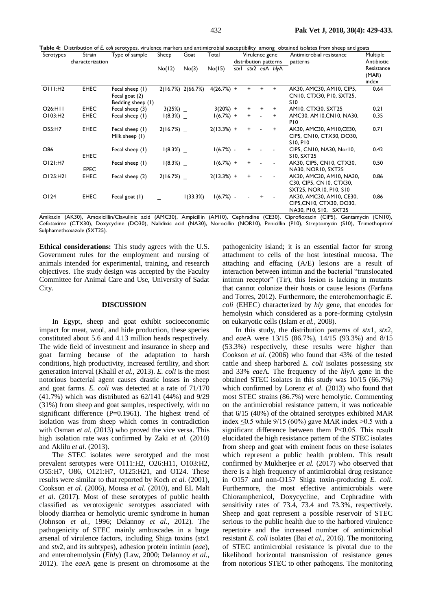| Serotypes | Strain<br>characterization | Type of sample                                         | Sheep    | Goat              | Total        | Virulence gene<br>distribution patterns |           |                          | Antimicrobial resistance<br>patterns | Multiple<br>Antibiotic                                                        |                              |
|-----------|----------------------------|--------------------------------------------------------|----------|-------------------|--------------|-----------------------------------------|-----------|--------------------------|--------------------------------------|-------------------------------------------------------------------------------|------------------------------|
|           |                            |                                                        | No(12)   | No(3)             | No(15)       |                                         |           |                          | stx1 stx2 eaA hlyA                   |                                                                               | Resistance<br>(MAR)<br>index |
| OIII:H2   | <b>EHEC</b>                | Fecal sheep (1)<br>Fecal goat (2)<br>Bedding sheep (1) |          | 2(16.7%) 2(66.7%) | $4(26.7%) +$ |                                         | $\ddot{}$ | $\ddot{}$                | $\ddot{}$                            | AK30, AMC30, AM10, CIP5,<br>CN10, CTX30, P10, SXT25,<br>SI0                   | 0.64                         |
| O26:HII   | <b>EHEC</b>                | Fecal sheep (3)                                        | 3(25%)   |                   | $3(20%) +$   |                                         | $\ddot{}$ | +                        | $\ddot{}$                            | AM10, CTX30, SXT25                                                            | 0.21                         |
| O103:H2   | <b>EHEC</b>                | Fecal sheep (1)                                        | 1(8.3%)  |                   | $1(6.7%) +$  |                                         | $+$       | $\overline{\phantom{a}}$ | $\ddot{}$                            | AMC30, AM10, CN10, NA30,<br>P <sub>10</sub>                                   | 0.35                         |
| O55:H7    | <b>EHEC</b>                | Fecal sheep (1)<br>Milk sheep (1)                      | 2(16.7%) |                   | $2(13.3%) +$ |                                         | $\ddot{}$ |                          | $\ddot{}$                            | AK30, AMC30, AM10, CE30,<br>CIP5, CN10, CTX30, DO30,<br><b>SIO. PIO</b>       | 0.71                         |
| O86       | <b>EHEC</b>                | Fecal sheep (1)                                        | 1(8.3%)  |                   | $1(6.7%)$ -  |                                         | $\ddot{}$ |                          |                                      | CIP5, CN10, NA30, Nor10,<br>S10. SXT25                                        | 0.42                         |
| O121:H7   | <b>EPEC</b>                | Fecal sheep (1)                                        | 1(8.3%)  |                   | $1(6.7%) +$  |                                         | $\ddot{}$ |                          |                                      | AK30, CIP5, CN10, CTX30,<br>NA30, NOR10, SXT25                                | 0.50                         |
| O125:H21  | <b>EHEC</b>                | Fecal sheep (2)                                        | 2(16.7%) |                   | $2(13.3%) +$ |                                         | $\ddot{}$ |                          |                                      | AK30, AMC30, AM10, NA30,<br>C30, CIP5, CN10, CTX30,<br>SXT25, NOR10, P10, S10 | 0.86                         |
| O124      | <b>EHEC</b>                | Fecal goat $(1)$                                       |          | 1(33.3%)          | $1(6.7%)$ -  |                                         |           | $+$                      |                                      | AK30, AMC30, AM10, CE30,<br>CIP5, CN10, CTX30, DO30,<br>NA30, PIO, SIO, SXT25 | 0.86                         |

NA30, P10, S10, SXT25 Amikacin (AK30), Amoxicillin/Clavulinic acid (AMC30), Ampicillin (AM10), Cephradine (CE30), Ciprofloxacin (CIP5), Gentamycin (CN10),

Cefotaxime (CTX30), Doxycycline (DO30), Nalidixic acid (NA30), Norocillin (NOR10), Penicillin (P10), Streptomycin (S10), Trimethoprim/ Sulphamethoxazole (SXT25).

**Ethical considerations:** This study agrees with the U.S. Government rules for the employment and nursing of animals intended for experimental, training, and research objectives. The study design was accepted by the Faculty Committee for Animal Care and Use, University of Sadat City.

# **DISCUSSION**

In Egypt, sheep and goat exhibit socioeconomic impact for meat, wool, and hide production, these species constituted about 5.6 and 4.13 million heads respectively. The wide field of investment and insurance in sheep and goat farming because of the adaptation to harsh conditions, high productivity, increased fertility, and short generation interval (Khalil *et al.,* 2013). *E. coli* is the most notorious bacterial agent causes drastic losses in sheep and goat farms. *E. coli* was detected at a rate of 71/170 (41.7%) which was distributed as 62/141 (44%) and 9/29 (31%) from sheep and goat samples, respectively, with no significant difference (P=0.1961). The highest trend of isolation was from sheep which comes in contradiction with Osman *et al.* (2013) who proved the vice versa. This high isolation rate was confirmed by Zaki *et al.* (2010) and Aklilu *et al*. (2013).

The STEC isolates were serotyped and the most prevalent serotypes were O111:H2, O26:H11, O103:H2, O55:H7, O86, O121:H7, O125:H21, and O124. These results were similar to that reported by Koch *et al.* (2001), Cookson *et al*. (2006), Mousa *et al.* (2010), and EL Malt *et al.* (2017). Most of these serotypes of public health classified as verotoxigenic serotypes associated with bloody diarrhea or hemolytic uremic syndrome in human (Johnson *et al.,* 1996; Delannoy *et al.,* 2012). The pathogenicity of STEC mainly ambuscades in a huge arsenal of virulence factors, including Shiga toxins (*stx*1 and *stx*2, and its subtypes), adhesion protein intimin (*eae*), and enterohemolysin (*Ehl*y) (Law, 2000; Delannoy *et al.,* 2012). The *eae*A gene is present on chromosome at the pathogenicity island; it is an essential factor for strong attachment to cells of the host intestinal mucosa. The attaching and effacing (A/E) lesions are a result of interaction between intimin and the bacterial "translocated intimin receptor" (Tir), this lesion is lacking in mutants that cannot colonize their hosts or cause lesions (Farfana and Torres, 2012). Furthermore, the enterohemorrhagic *E. coli* (EHEC) characterized by *hly* gene, that encodes for hemolysin which considered as a pore-forming cytolysin on eukaryotic cells (Islam *et al.,* 2008).

In this study, the distribution patterns of *stx*1, *stx*2, and *eae*A were 13/15 (86.7%), 14/15 (93.3%) and 8/15 (53.3%) respectively, these results were higher than Cookson *et al.* (2006) who found that 43% of the tested cattle and sheep harbored *E. coli* isolates possessing *stx*  and 33% *eae*A. The frequency of the *hly*A gene in the obtained STEC isolates in this study was 10/15 (66.7%) which confirmed by Lorenz *et al.* (2013) who found that most STEC strains (86.7%) were hemolytic. Commenting on the antimicrobial resistance pattern, it was noticeable that 6/15 (40%) of the obtained serotypes exhibited MAR index  $\leq 0.5$  while 9/15 (60%) gave MAR index >0.5 with a significant difference between them P˂0.05. This result elucidated the high resistance pattern of the STEC isolates from sheep and goat with eminent focus on these isolates which represent a public health problem. This result confirmed by Mukherjee *et al.* (2017) who observed that there is a high frequency of antimicrobial drug resistance in O157 and non-O157 Shiga toxin-producing *E. coli*. Furthermore, the most effective antimicrobials were Chloramphenicol, Doxycycline, and Cephradine with sensitivity rates of 73.4, 73.4 and 73.3%, respectively. Sheep and goat represent a possible reservoir of STEC serious to the public health due to the harbored virulence repertoire and the increased number of antimicrobial resistant *E. coli* isolates (Bai *et al.,* 2016). The monitoring of STEC antimicrobial resistance is pivotal due to the likelihood horizontal transmission of resistance genes from notorious STEC to other pathogens. The monitoring

**Table 4:** Distribution of *E. coli* serotypes, virulence markers and antimicrobial susceptibility among obtained isolates from sheep and goats